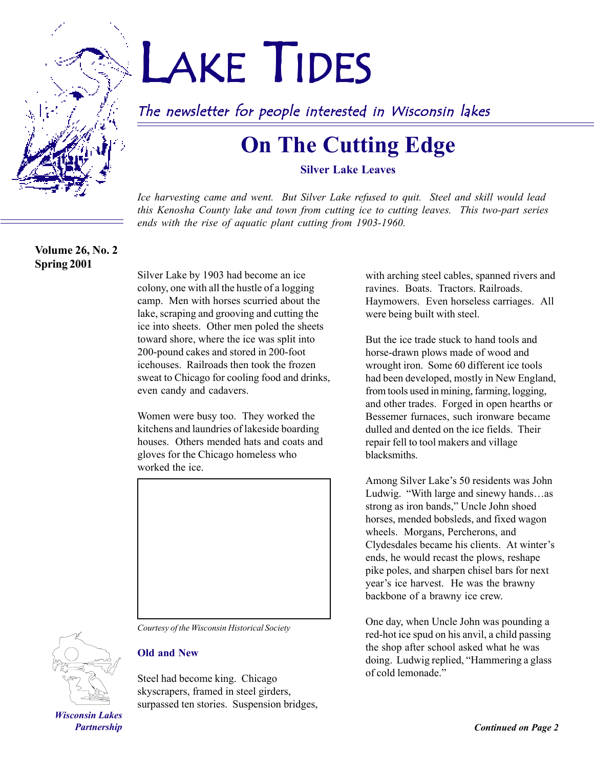

# LAKE TIDES

# The newsletter for people interested in Wisconsin lakes

# **On The Cutting Edge**

**Silver Lake Leaves**

*Ice harvesting came and went. But Silver Lake refused to quit. Steel and skill would lead this Kenosha County lake and town from cutting ice to cutting leaves. This two-part series ends with the rise of aquatic plant cutting from 1903-1960.*

**Volume 26, No. 2 Spring 2001**

Silver Lake by 1903 had become an ice colony, one with all the hustle of a logging camp. Men with horses scurried about the lake, scraping and grooving and cutting the ice into sheets. Other men poled the sheets toward shore, where the ice was split into 200-pound cakes and stored in 200-foot icehouses. Railroads then took the frozen sweat to Chicago for cooling food and drinks, even candy and cadavers.

Women were busy too. They worked the kitchens and laundries of lakeside boarding houses. Others mended hats and coats and gloves for the Chicago homeless who worked the ice.



*Courtesy of the Wisconsin Historical Society*



#### **Old and New**

Steel had become king. Chicago skyscrapers, framed in steel girders, surpassed ten stories. Suspension bridges,

with arching steel cables, spanned rivers and ravines. Boats. Tractors. Railroads. Haymowers. Even horseless carriages. All were being built with steel.

But the ice trade stuck to hand tools and horse-drawn plows made of wood and wrought iron. Some 60 different ice tools had been developed, mostly in New England, from tools used in mining, farming, logging, and other trades. Forged in open hearths or Bessemer furnaces, such ironware became dulled and dented on the ice fields. Their repair fell to tool makers and village blacksmiths.

Among Silver Lake's 50 residents was John Ludwig. "With large and sinewy hands...as strong as iron bands," Uncle John shoed horses, mended bobsleds, and fixed wagon wheels. Morgans, Percherons, and Clydesdales became his clients. At winter's ends, he would recast the plows, reshape pike poles, and sharpen chisel bars for next year's ice harvest. He was the brawny backbone of a brawny ice crew.

One day, when Uncle John was pounding a red-hot ice spud on his anvil, a child passing the shop after school asked what he was doing. Ludwig replied, "Hammering a glass of cold lemonade."

*Wisconsin Lakes Partnership*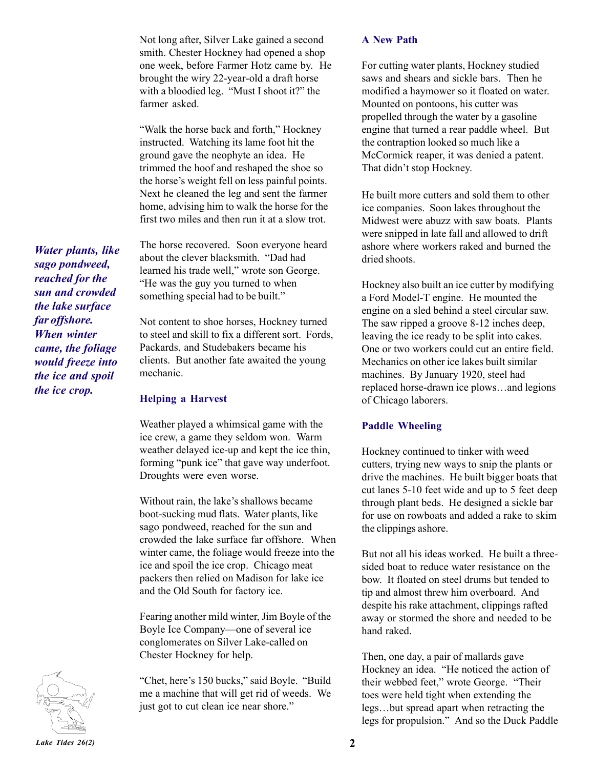Not long after, Silver Lake gained a second smith. Chester Hockney had opened a shop one week, before Farmer Hotz came by. He brought the wiry 22-year-old a draft horse with a bloodied leg. "Must I shoot it?" the farmer asked.

"Walk the horse back and forth," Hockney instructed. Watching its lame foot hit the ground gave the neophyte an idea. He trimmed the hoof and reshaped the shoe so the horse's weight fell on less painful points. Next he cleaned the leg and sent the farmer home, advising him to walk the horse for the first two miles and then run it at a slow trot.

The horse recovered. Soon everyone heard about the clever blacksmith. "Dad had learned his trade well," wrote son George. "He was the guy you turned to when something special had to be built."

Not content to shoe horses, Hockney turned to steel and skill to fix a different sort. Fords, Packards, and Studebakers became his clients. But another fate awaited the young mechanic.

#### **Helping a Harvest**

Weather played a whimsical game with the ice crew, a game they seldom won. Warm weather delayed ice-up and kept the ice thin, forming "punk ice" that gave way underfoot. Droughts were even worse.

Without rain, the lake's shallows became boot-sucking mud flats. Water plants, like sago pondweed, reached for the sun and crowded the lake surface far offshore. When winter came, the foliage would freeze into the ice and spoil the ice crop. Chicago meat packers then relied on Madison for lake ice and the Old South for factory ice.

Fearing another mild winter, Jim Boyle of the Boyle Ice Company—one of several ice conglomerates on Silver Lake-called on Chester Hockney for help.

"Chet, here's 150 bucks," said Boyle. "Build" me a machine that will get rid of weeds. We just got to cut clean ice near shore."

#### **A New Path**

For cutting water plants, Hockney studied saws and shears and sickle bars. Then he modified a haymower so it floated on water. Mounted on pontoons, his cutter was propelled through the water by a gasoline engine that turned a rear paddle wheel. But the contraption looked so much like a McCormick reaper, it was denied a patent. That didn't stop Hockney.

He built more cutters and sold them to other ice companies. Soon lakes throughout the Midwest were abuzz with saw boats. Plants were snipped in late fall and allowed to drift ashore where workers raked and burned the dried shoots.

Hockney also built an ice cutter by modifying a Ford Model-T engine. He mounted the engine on a sled behind a steel circular saw. The saw ripped a groove 8-12 inches deep, leaving the ice ready to be split into cakes. One or two workers could cut an entire field. Mechanics on other ice lakes built similar machines. By January 1920, steel had replaced horse-drawn ice plows...and legions of Chicago laborers.

#### **Paddle Wheeling**

Hockney continued to tinker with weed cutters, trying new ways to snip the plants or drive the machines. He built bigger boats that cut lanes 5-10 feet wide and up to 5 feet deep through plant beds. He designed a sickle bar for use on rowboats and added a rake to skim the clippings ashore.

But not all his ideas worked. He built a threesided boat to reduce water resistance on the bow. It floated on steel drums but tended to tip and almost threw him overboard. And despite his rake attachment, clippings rafted away or stormed the shore and needed to be hand raked.

Then, one day, a pair of mallards gave Hockney an idea. "He noticed the action of their webbed feet," wrote George. "Their toes were held tight when extending the legs...but spread apart when retracting the legs for propulsion." And so the Duck Paddle

*Water plants, like sago pondweed, reached for the sun and crowded the lake surface far offshore. When winter came, the foliage would freeze into the ice and spoil the ice crop.*

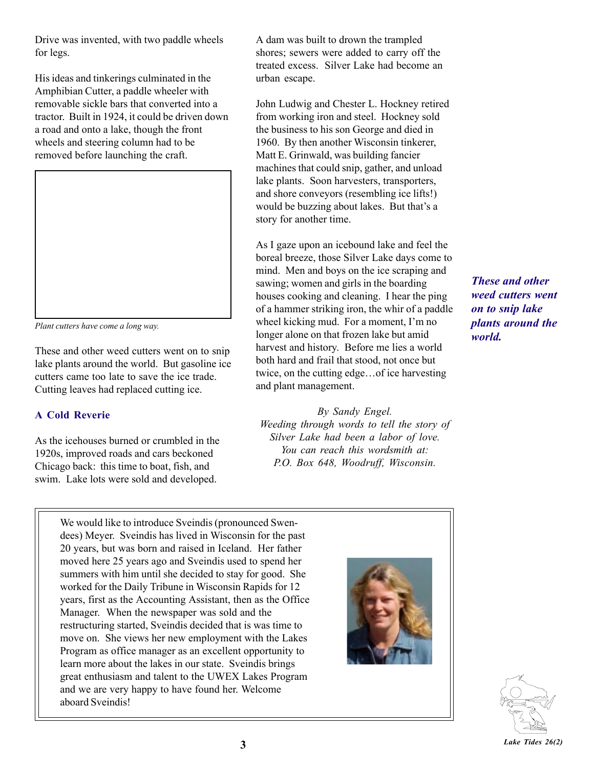Drive was invented, with two paddle wheels for legs.

His ideas and tinkerings culminated in the Amphibian Cutter, a paddle wheeler with removable sickle bars that converted into a tractor. Built in 1924, it could be driven down a road and onto a lake, though the front wheels and steering column had to be removed before launching the craft.



*Plant cutters have come a long way.*

These and other weed cutters went on to snip lake plants around the world. But gasoline ice cutters came too late to save the ice trade. Cutting leaves had replaced cutting ice.

#### **A Cold Reverie**

As the icehouses burned or crumbled in the 1920s, improved roads and cars beckoned Chicago back: this time to boat, fish, and swim. Lake lots were sold and developed.

A dam was built to drown the trampled shores; sewers were added to carry off the treated excess. Silver Lake had become an urban escape.

John Ludwig and Chester L. Hockney retired from working iron and steel. Hockney sold the business to his son George and died in 1960. By then another Wisconsin tinkerer, Matt E. Grinwald, was building fancier machines that could snip, gather, and unload lake plants. Soon harvesters, transporters, and shore conveyors (resembling ice lifts!) would be buzzing about lakes. But that's a story for another time.

As I gaze upon an icebound lake and feel the boreal breeze, those Silver Lake days come to mind. Men and boys on the ice scraping and sawing; women and girls in the boarding houses cooking and cleaning. I hear the ping of a hammer striking iron, the whir of a paddle wheel kicking mud. For a moment, I'm no longer alone on that frozen lake but amid harvest and history. Before me lies a world both hard and frail that stood, not once but twice, on the cutting edge... of ice harvesting and plant management.

*By Sandy Engel. Weeding through words to tell the story of Silver Lake had been a labor of love. You can reach this wordsmith at: P.O. Box 648, Woodruff, Wisconsin.*

*These and other weed cutters went on to snip lake plants around the world.*

We would like to introduce Sveindis (pronounced Swendees) Meyer. Sveindis has lived in Wisconsin for the past 20 years, but was born and raised in Iceland. Her father moved here 25 years ago and Sveindis used to spend her summers with him until she decided to stay for good. She worked for the Daily Tribune in Wisconsin Rapids for 12 years, first as the Accounting Assistant, then as the Office Manager. When the newspaper was sold and the restructuring started, Sveindis decided that is was time to move on. She views her new employment with the Lakes Program as office manager as an excellent opportunity to learn more about the lakes in our state. Sveindis brings great enthusiasm and talent to the UWEX Lakes Program and we are very happy to have found her. Welcome aboard Sveindis!



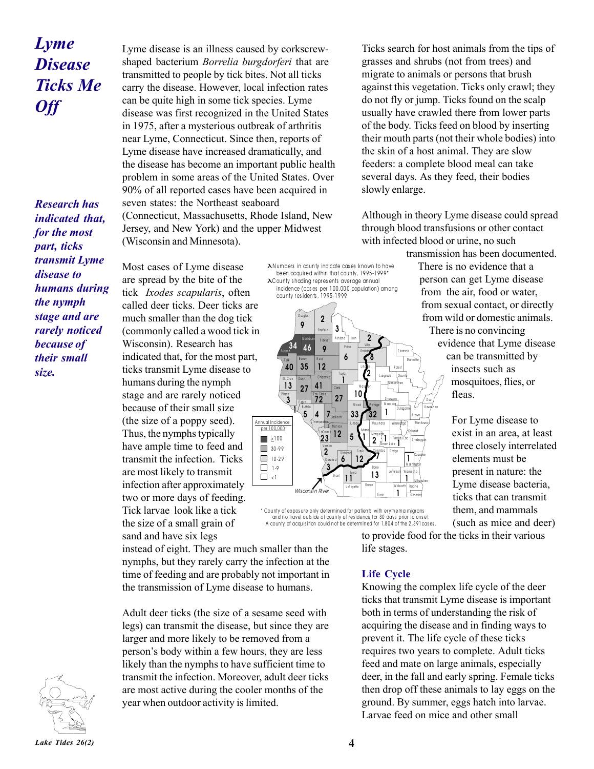# *Lyme Disease Ticks Me Off*

*Research has indicated that, for the most part, ticks transmit Lyme disease to humans during the nymph stage and are rarely noticed because of their small size.*

Lyme disease is an illness caused by corkscrewshaped bacterium *Borrelia burgdorferi* that are transmitted to people by tick bites. Not all ticks carry the disease. However, local infection rates can be quite high in some tick species. Lyme disease was first recognized in the United States in 1975, after a mysterious outbreak of arthritis near Lyme, Connecticut. Since then, reports of Lyme disease have increased dramatically, and the disease has become an important public health problem in some areas of the United States. Over 90% of all reported cases have been acquired in seven states: the Northeast seaboard (Connecticut, Massachusetts, Rhode Island, New Jersey, and New York) and the upper Midwest (Wisconsin and Minnesota).

Most cases of Lyme disease are spread by the bite of the tick *Ixodes scapularis*, often

much smaller than the dog tick

ticks transmit Lyme disease to humans during the nymph stage and are rarely noticed because of their small size (the size of a poppy seed). Thus, the nymphs typically have ample time to feed and transmit the infection. Ticks are most likely to transmit infection after approximately two or more days of feeding. Tick larvae look like a tick the size of a small grain of sand and have six legs

Wisconsin). Research has

λ N um bers in co unty indicate cases known to have been acquired within that county, 1995-1999\* λ C ounty s hading represents average annual incidence (cases per 100,000 population) among



\* County of exposure only determined for patients with erythema migrans and no travel outside of county of residence for 30 days prior to onset. A county of acquisition could not be determined for 1,804 of the 2,391 cases.

Ticks search for host animals from the tips of grasses and shrubs (not from trees) and migrate to animals or persons that brush against this vegetation. Ticks only crawl; they do not fly or jump. Ticks found on the scalp usually have crawled there from lower parts of the body. Ticks feed on blood by inserting their mouth parts (not their whole bodies) into the skin of a host animal. They are slow feeders: a complete blood meal can take several days. As they feed, their bodies slowly enlarge.

Although in theory Lyme disease could spread through blood transfusions or other contact with infected blood or urine, no such transmission has been documented.

There is no evidence that a person can get Lyme disease from the air, food or water, from sexual contact, or directly from wild or domestic animals. There is no convincing evidence that Lyme disease can be transmitted by insects such as mosquitoes, flies, or fleas.

> For Lyme disease to exist in an area, at least three closely interrelated elements must be present in nature: the Lyme disease bacteria, ticks that can transmit them, and mammals (such as mice and deer)

to provide food for the ticks in their various life stages.

**Life Cycle**

Knowing the complex life cycle of the deer ticks that transmit Lyme disease is important both in terms of understanding the risk of acquiring the disease and in finding ways to prevent it. The life cycle of these ticks requires two years to complete. Adult ticks feed and mate on large animals, especially deer, in the fall and early spring. Female ticks then drop off these animals to lay eggs on the ground. By summer, eggs hatch into larvae. Larvae feed on mice and other small

instead of eight. They are much smaller than the nymphs, but they rarely carry the infection at the time of feeding and are probably not important in the transmission of Lyme disease to humans.

Adult deer ticks (the size of a sesame seed with legs) can transmit the disease, but since they are larger and more likely to be removed from a person's body within a few hours, they are less likely than the nymphs to have sufficient time to transmit the infection. Moreover, adult deer ticks are most active during the cooler months of the year when outdoor activity is limited.

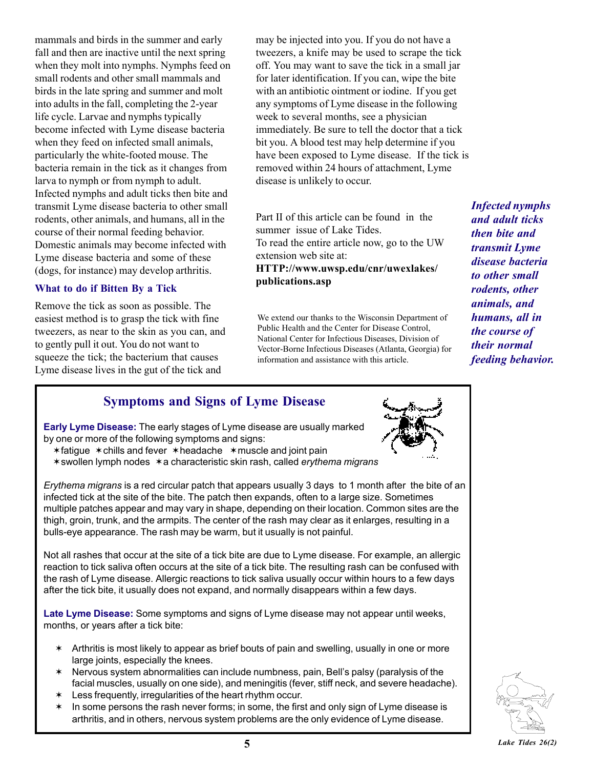mammals and birds in the summer and early fall and then are inactive until the next spring when they molt into nymphs. Nymphs feed on small rodents and other small mammals and birds in the late spring and summer and molt into adults in the fall, completing the 2-year life cycle. Larvae and nymphs typically become infected with Lyme disease bacteria when they feed on infected small animals, particularly the white-footed mouse. The bacteria remain in the tick as it changes from larva to nymph or from nymph to adult. Infected nymphs and adult ticks then bite and transmit Lyme disease bacteria to other small rodents, other animals, and humans, all in the course of their normal feeding behavior. Domestic animals may become infected with Lyme disease bacteria and some of these (dogs, for instance) may develop arthritis.

#### **What to do if Bitten By a Tick**

Remove the tick as soon as possible. The easiest method is to grasp the tick with fine tweezers, as near to the skin as you can, and to gently pull it out. You do not want to squeeze the tick; the bacterium that causes Lyme disease lives in the gut of the tick and

may be injected into you. If you do not have a tweezers, a knife may be used to scrape the tick off. You may want to save the tick in a small jar for later identification. If you can, wipe the bite with an antibiotic ointment or iodine. If you get any symptoms of Lyme disease in the following week to several months, see a physician immediately. Be sure to tell the doctor that a tick bit you. A blood test may help determine if you have been exposed to Lyme disease. If the tick is removed within 24 hours of attachment, Lyme disease is unlikely to occur.

Part II of this article can be found in the summer issue of Lake Tides. To read the entire article now, go to the UW extension web site at:

**HTTP://www.uwsp.edu/cnr/uwexlakes/ publications.asp**

We extend our thanks to the Wisconsin Department of Public Health and the Center for Disease Control, National Center for Infectious Diseases, Division of Vector-Borne Infectious Diseases (Atlanta, Georgia) for information and assistance with this article.

*Infected nymphs and adult ticks then bite and transmit Lyme disease bacteria to other small rodents, other animals, and humans, all in the course of their normal feeding behavior.*

### **Symptoms and Signs of Lyme Disease**

**Early Lyme Disease:** The early stages of Lyme disease are usually marked by one or more of the following symptoms and signs:

- $*$  fatigue  $*$  chills and fever  $*$  headache  $*$  muscle and joint pain
- \* swollen lymph nodes \* a characteristic skin rash, called *erythema migrans*

*Erythema migrans* is a red circular patch that appears usually 3 days to 1 month after the bite of an infected tick at the site of the bite. The patch then expands, often to a large size. Sometimes multiple patches appear and may vary in shape, depending on their location. Common sites are the thigh, groin, trunk, and the armpits. The center of the rash may clear as it enlarges, resulting in a bulls-eye appearance. The rash may be warm, but it usually is not painful.

Not all rashes that occur at the site of a tick bite are due to Lyme disease. For example, an allergic reaction to tick saliva often occurs at the site of a tick bite. The resulting rash can be confused with the rash of Lyme disease. Allergic reactions to tick saliva usually occur within hours to a few days after the tick bite, it usually does not expand, and normally disappears within a few days.

**Late Lyme Disease:** Some symptoms and signs of Lyme disease may not appear until weeks, months, or years after a tick bite:

- $*$  Arthritis is most likely to appear as brief bouts of pain and swelling, usually in one or more large joints, especially the knees.
- $*$  Nervous system abnormalities can include numbness, pain, Bell's palsy (paralysis of the facial muscles, usually on one side), and meningitis (fever, stiff neck, and severe headache).
- $*$  Less frequently, irregularities of the heart rhythm occur.
- $*$  In some persons the rash never forms; in some, the first and only sign of Lyme disease is arthritis, and in others, nervous system problems are the only evidence of Lyme disease.



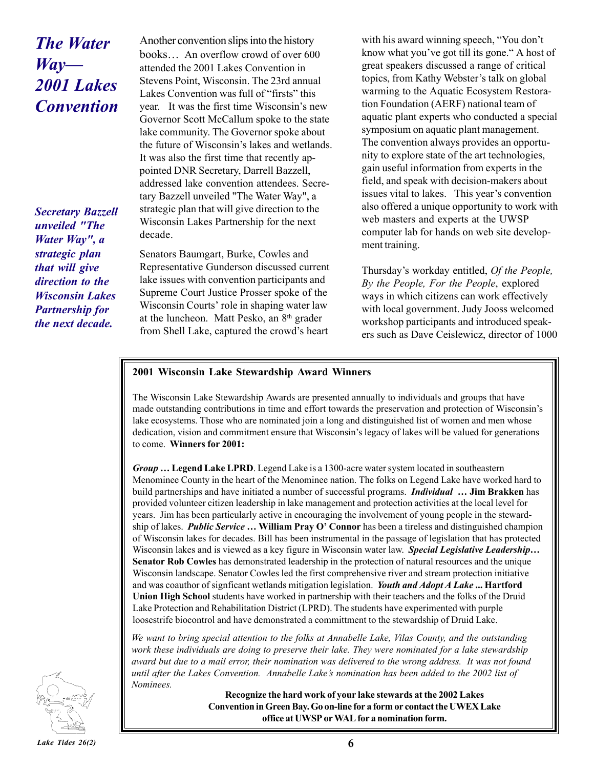# *The Water*  $Way$ — *2001 Lakes Convention*

*Secretary Bazzell unveiled "The Water Way", a strategic plan that will give direction to the Wisconsin Lakes Partnership for the next decade.*

Another convention slips into the history books... An overflow crowd of over 600 attended the 2001 Lakes Convention in Stevens Point, Wisconsin. The 23rd annual Lakes Convention was full of "firsts" this year. It was the first time Wisconsin's new Governor Scott McCallum spoke to the state lake community. The Governor spoke about the future of Wisconsin's lakes and wetlands. It was also the first time that recently appointed DNR Secretary, Darrell Bazzell, addressed lake convention attendees. Secretary Bazzell unveiled "The Water Way", a strategic plan that will give direction to the Wisconsin Lakes Partnership for the next decade.

Senators Baumgart, Burke, Cowles and Representative Gunderson discussed current lake issues with convention participants and Supreme Court Justice Prosser spoke of the Wisconsin Courts' role in shaping water law at the luncheon. Matt Pesko, an 8th grader from Shell Lake, captured the crowd's heart

with his award winning speech, "You don't know what you've got till its gone." A host of great speakers discussed a range of critical topics, from Kathy Webster's talk on global warming to the Aquatic Ecosystem Restoration Foundation (AERF) national team of aquatic plant experts who conducted a special symposium on aquatic plant management. The convention always provides an opportunity to explore state of the art technologies, gain useful information from experts in the field, and speak with decision-makers about issues vital to lakes. This year's convention also offered a unique opportunity to work with web masters and experts at the UWSP computer lab for hands on web site development training.

Thursday's workday entitled, *Of the People*, *By the People, For the People*, explored ways in which citizens can work effectively with local government. Judy Jooss welcomed workshop participants and introduced speakers such as Dave Ceislewicz, director of 1000

#### **2001 Wisconsin Lake Stewardship Award Winners**

The Wisconsin Lake Stewardship Awards are presented annually to individuals and groups that have made outstanding contributions in time and effort towards the preservation and protection of Wisconsinís lake ecosystems. Those who are nominated join a long and distinguished list of women and men whose dedication, vision and commitment ensure that Wisconsin's legacy of lakes will be valued for generations to come. **Winners for 2001:**

*Group* ... Legend Lake LPRD. Legend Lake is a 1300-acre water system located in southeastern Menominee County in the heart of the Menominee nation. The folks on Legend Lake have worked hard to build partnerships and have initiated a number of successful programs. *Individual* ... **Jim Brakken** has provided volunteer citizen leadership in lake management and protection activities at the local level for years. Jim has been particularly active in encouraging the involvement of young people in the stewardship of lakes. *Public Service* ... William Pray O' Connor has been a tireless and distinguished champion of Wisconsin lakes for decades. Bill has been instrumental in the passage of legislation that has protected Wisconsin lakes and is viewed as a key figure in Wisconsin water law. *Special Legislative Leadership*... **Senator Rob Cowles** has demonstrated leadership in the protection of natural resources and the unique Wisconsin landscape. Senator Cowles led the first comprehensive river and stream protection initiative and was coauthor of signficant wetlands mitigation legislation. *Youth and Adopt A Lake* **... Hartford Union High School** students have worked in partnership with their teachers and the folks of the Druid Lake Protection and Rehabilitation District (LPRD). The students have experimented with purple loosestrife biocontrol and have demonstrated a committment to the stewardship of Druid Lake.

*We want to bring special attention to the folks at Annabelle Lake, Vilas County, and the outstanding work these individuals are doing to preserve their lake. They were nominated for a lake stewardship award but due to a mail error, their nomination was delivered to the wrong address. It was not found until after the Lakes Convention. Annabelle Lakeís nomination has been added to the 2002 list of Nominees.*

> **Recognize the hard work of your lake stewards at the 2002 Lakes Convention in Green Bay. Go on-line for a form or contact the UWEX Lake office at UWSP or WAL for a nomination form.**

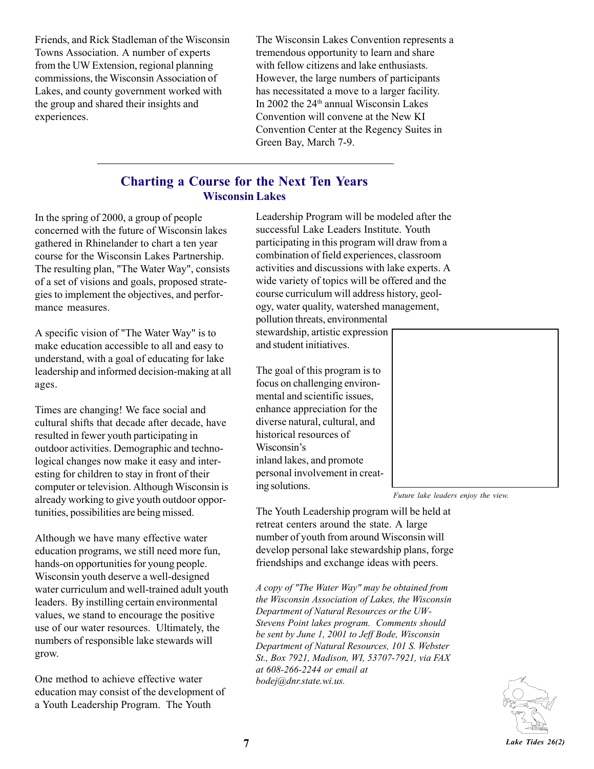Friends, and Rick Stadleman of the Wisconsin Towns Association. A number of experts from the UW Extension, regional planning commissions, the Wisconsin Association of Lakes, and county government worked with the group and shared their insights and experiences.

The Wisconsin Lakes Convention represents a tremendous opportunity to learn and share with fellow citizens and lake enthusiasts. However, the large numbers of participants has necessitated a move to a larger facility. In 2002 the 24th annual Wisconsin Lakes Convention will convene at the New KI Convention Center at the Regency Suites in Green Bay, March 7-9.

## **Charting a Course for the Next Ten Years Wisconsin Lakes**

In the spring of 2000, a group of people concerned with the future of Wisconsin lakes gathered in Rhinelander to chart a ten year course for the Wisconsin Lakes Partnership. The resulting plan, "The Water Way", consists of a set of visions and goals, proposed strategies to implement the objectives, and performance measures.

A specific vision of "The Water Way" is to make education accessible to all and easy to understand, with a goal of educating for lake leadership and informed decision-making at all ages.

Times are changing! We face social and cultural shifts that decade after decade, have resulted in fewer youth participating in outdoor activities. Demographic and technological changes now make it easy and interesting for children to stay in front of their computer or television. Although Wisconsin is already working to give youth outdoor opportunities, possibilities are being missed.

Although we have many effective water education programs, we still need more fun, hands-on opportunities for young people. Wisconsin youth deserve a well-designed water curriculum and well-trained adult youth leaders. By instilling certain environmental values, we stand to encourage the positive use of our water resources. Ultimately, the numbers of responsible lake stewards will grow.

One method to achieve effective water education may consist of the development of a Youth Leadership Program. The Youth

Leadership Program will be modeled after the successful Lake Leaders Institute. Youth participating in this program will draw from a combination of field experiences, classroom activities and discussions with lake experts. A wide variety of topics will be offered and the course curriculum will address history, geology, water quality, watershed management, pollution threats, environmental

stewardship, artistic expression and student initiatives.

The goal of this program is to focus on challenging environmental and scientific issues, enhance appreciation for the diverse natural, cultural, and historical resources of Wisconsin's inland lakes, and promote personal involvement in creating solutions.



*Future lake leaders enjoy the view.*

The Youth Leadership program will be held at retreat centers around the state. A large number of youth from around Wisconsin will develop personal lake stewardship plans, forge friendships and exchange ideas with peers.

*A copy of "The Water Way" may be obtained from the Wisconsin Association of Lakes, the Wisconsin Department of Natural Resources or the UW-Stevens Point lakes program. Comments should be sent by June 1, 2001 to Jeff Bode, Wisconsin Department of Natural Resources, 101 S. Webster St., Box 7921, Madison, WI, 53707-7921, via FAX at 608-266-2244 or email at bodej@dnr.state.wi.us.*

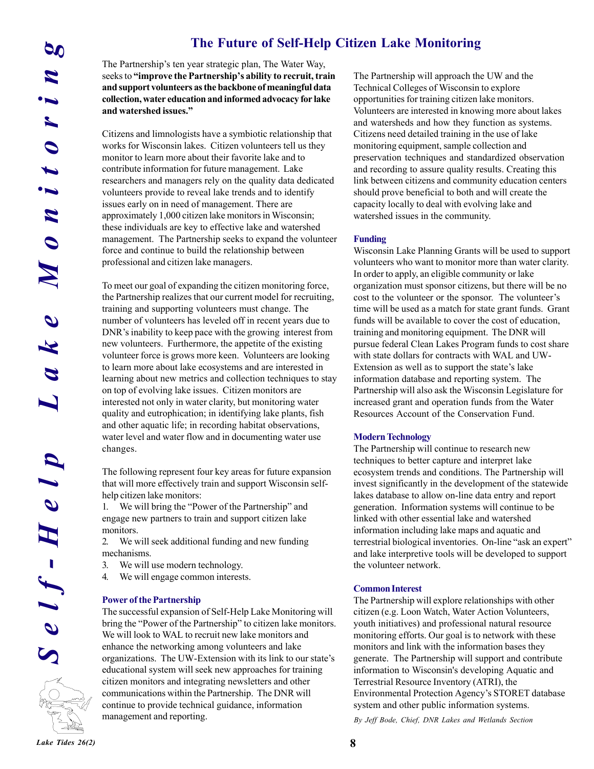## **The Future of Self-Help Citizen Lake Monitoring**

The Partnership's ten year strategic plan, The Water Way, seeks to "improve the Partnership's ability to recruit, train **and support volunteers as the backbone of meaningful data collection, water education and informed advocacy for lake** and watershed issues."

Citizens and limnologists have a symbiotic relationship that works for Wisconsin lakes. Citizen volunteers tell us they monitor to learn more about their favorite lake and to contribute information for future management. Lake researchers and managers rely on the quality data dedicated volunteers provide to reveal lake trends and to identify issues early on in need of management. There are approximately 1,000 citizen lake monitors in Wisconsin; these individuals are key to effective lake and watershed management. The Partnership seeks to expand the volunteer force and continue to build the relationship between professional and citizen lake managers.

**Lake Partnership's Len Particular Constrained Particular (Self-Help Clip)<br>
and support volumeters are the charged by a needely saidly to recent Lens<br>
and support volumeters are the backbone of meaning that and support vo** To meet our goal of expanding the citizen monitoring force, the Partnership realizes that our current model for recruiting, training and supporting volunteers must change. The number of volunteers has leveled off in recent years due to DNR's inability to keep pace with the growing interest from new volunteers. Furthermore, the appetite of the existing volunteer force is grows more keen. Volunteers are looking to learn more about lake ecosystems and are interested in learning about new metrics and collection techniques to stay on top of evolving lake issues. Citizen monitors are interested not only in water clarity, but monitoring water quality and eutrophication; in identifying lake plants, fish and other aquatic life; in recording habitat observations, water level and water flow and in documenting water use changes.

The following represent four key areas for future expansion that will more effectively train and support Wisconsin selfhelp citizen lake monitors:

1. We will bring the "Power of the Partnership" and engage new partners to train and support citizen lake monitors.

2. We will seek additional funding and new funding mechanisms.

- 3. We will use modern technology.
- 4. We will engage common interests.

#### **Power of the Partnership**

The successful expansion of Self-Help Lake Monitoring will bring the "Power of the Partnership" to citizen lake monitors. We will look to WAL to recruit new lake monitors and enhance the networking among volunteers and lake organizations. The UW-Extension with its link to our state's educational system will seek new approaches for training citizen monitors and integrating newsletters and other communications within the Partnership. The DNR will continue to provide technical guidance, information management and reporting.

The Partnership will approach the UW and the Technical Colleges of Wisconsin to explore opportunities for training citizen lake monitors. Volunteers are interested in knowing more about lakes and watersheds and how they function as systems. Citizens need detailed training in the use of lake monitoring equipment, sample collection and preservation techniques and standardized observation and recording to assure quality results. Creating this link between citizens and community education centers should prove beneficial to both and will create the capacity locally to deal with evolving lake and watershed issues in the community.

#### **Funding**

Wisconsin Lake Planning Grants will be used to support volunteers who want to monitor more than water clarity. In order to apply, an eligible community or lake organization must sponsor citizens, but there will be no cost to the volunteer or the sponsor. The volunteer's time will be used as a match for state grant funds. Grant funds will be available to cover the cost of education, training and monitoring equipment. The DNR will pursue federal Clean Lakes Program funds to cost share with state dollars for contracts with WAL and UW-Extension as well as to support the state's lake information database and reporting system. The Partnership will also ask the Wisconsin Legislature for increased grant and operation funds from the Water Resources Account of the Conservation Fund.

#### **Modern Technology**

The Partnership will continue to research new techniques to better capture and interpret lake ecosystem trends and conditions. The Partnership will invest significantly in the development of the statewide lakes database to allow on-line data entry and report generation. Information systems will continue to be linked with other essential lake and watershed information including lake maps and aquatic and terrestrial biological inventories. On-line "ask an expert" and lake interpretive tools will be developed to support the volunteer network.

#### **Common Interest**

The Partnership will explore relationships with other citizen (e.g. Loon Watch, Water Action Volunteers, youth initiatives) and professional natural resource monitoring efforts. Our goal is to network with these monitors and link with the information bases they generate. The Partnership will support and contribute information to Wisconsin's developing Aquatic and Terrestrial Resource Inventory (ATRI), the Environmental Protection Agency's STORET database system and other public information systems.

*By Jeff Bode, Chief, DNR Lakes and Wetlands Section*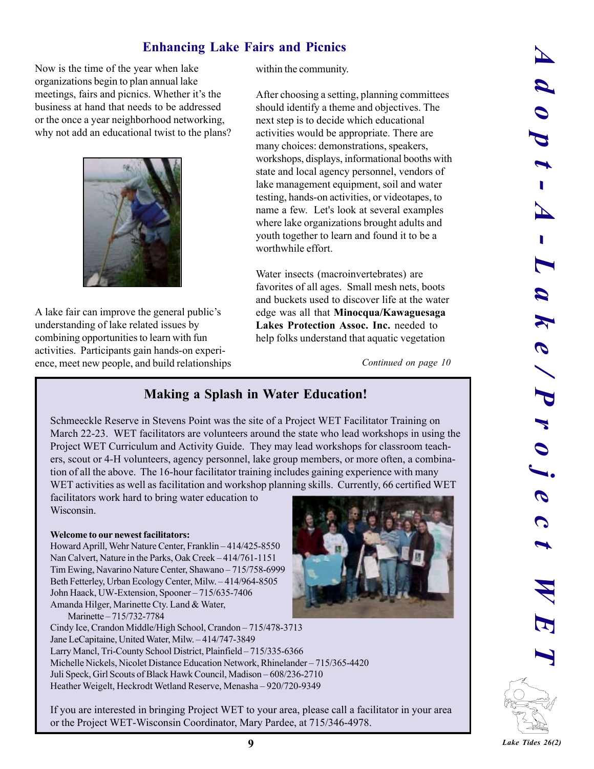# **Enhancing Lake Fairs and Picnics**

Now is the time of the year when lake organizations begin to plan annual lake meetings, fairs and picnics. Whether it's the business at hand that needs to be addressed or the once a year neighborhood networking, why not add an educational twist to the plans?



A lake fair can improve the general public's understanding of lake related issues by combining opportunities to learn with fun activities. Participants gain hands-on experience, meet new people, and build relationships within the community.

After choosing a setting, planning committees should identify a theme and objectives. The next step is to decide which educational activities would be appropriate. There are many choices: demonstrations, speakers, workshops, displays, informational booths with state and local agency personnel, vendors of lake management equipment, soil and water testing, hands-on activities, or videotapes, to name a few. Let's look at several examples where lake organizations brought adults and youth together to learn and found it to be a worthwhile effort.

Water insects (macroinvertebrates) are favorites of all ages. Small mesh nets, boots and buckets used to discover life at the water edge was all that **Minocqua/Kawaguesaga Lakes Protection Assoc. Inc.** needed to help folks understand that aquatic vegetation

*Continued on page 10*

## **Making a Splash in Water Education!**

Schmeeckle Reserve in Stevens Point was the site of a Project WET Facilitator Training on March 22-23. WET facilitators are volunteers around the state who lead workshops in using the Project WET Curriculum and Activity Guide. They may lead workshops for classroom teachers, scout or 4-H volunteers, agency personnel, lake group members, or more often, a combination of all the above. The 16-hour facilitator training includes gaining experience with many WET activities as well as facilitation and workshop planning skills. Currently, 66 certified WET

facilitators work hard to bring water education to Wisconsin.

#### **Welcome to our newest facilitators:**

Howard Aprill, Wehr Nature Center, Franklin - 414/425-8550 Nan Calvert, Nature in the Parks, Oak Creek – 414/761-1151 Tim Ewing, Navarino Nature Center, Shawano – 715/758-6999 Beth Fetterley, Urban Ecology Center, Milw. -414/964-8505 John Haack, UW-Extension, Spooner - 715/635-7406 Amanda Hilger, Marinette Cty. Land & Water,

Marinette – 715/732-7784



Cindy Ice, Crandon Middle/High School, Crandon – 715/478-3713 Jane LeCapitaine, United Water, Milw. -414/747-3849 Larry Mancl, Tri-County School District, Plainfield - 715/335-6366 Michelle Nickels, Nicolet Distance Education Network, Rhinelander - 715/365-4420 Juli Speck, Girl Scouts of Black Hawk Council, Madison - 608/236-2710 Heather Weigelt, Heckrodt Wetland Reserve, Menasha - 920/720-9349

If you are interested in bringing Project WET to your area, please call a facilitator in your area or the Project WET-Wisconsin Coordinator, Mary Pardee, at 715/346-4978.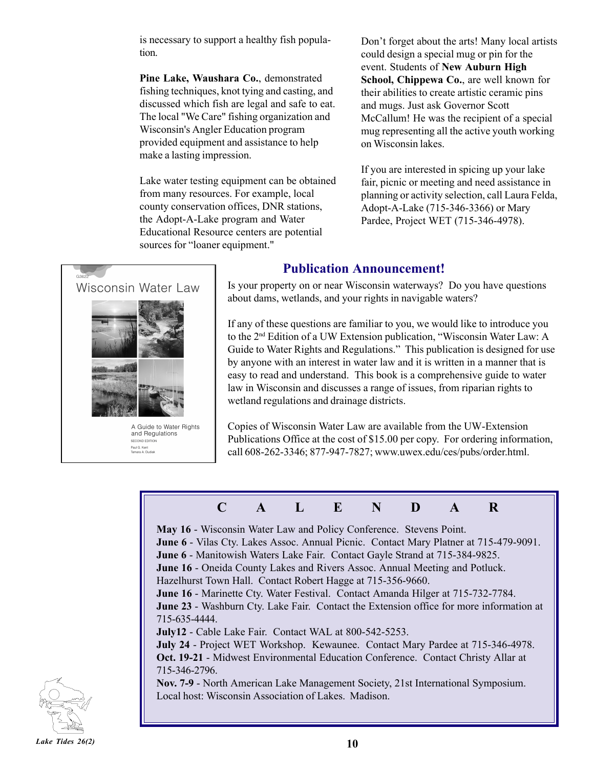is necessary to support a healthy fish population.

**Pine Lake, Waushara Co.**, demonstrated fishing techniques, knot tying and casting, and discussed which fish are legal and safe to eat. The local "We Care" fishing organization and Wisconsin's Angler Education program provided equipment and assistance to help make a lasting impression.

Lake water testing equipment can be obtained from many resources. For example, local county conservation offices, DNR stations, the Adopt-A-Lake program and Water Educational Resource centers are potential sources for "loaner equipment."

Don't forget about the arts! Many local artists could design a special mug or pin for the event. Students of **New Auburn High School, Chippewa Co.**, are well known for their abilities to create artistic ceramic pins and mugs. Just ask Governor Scott McCallum! He was the recipient of a special mug representing all the active youth working on Wisconsin lakes.

If you are interested in spicing up your lake fair, picnic or meeting and need assistance in planning or activity selection, call Laura Felda, Adopt-A-Lake (715-346-3366) or Mary Pardee, Project WET (715-346-4978).



## **Publication Announcement!**

Is your property on or near Wisconsin waterways? Do you have questions about dams, wetlands, and your rights in navigable waters?

If any of these questions are familiar to you, we would like to introduce you to the 2<sup>nd</sup> Edition of a UW Extension publication, "Wisconsin Water Law: A Guide to Water Rights and Regulations." This publication is designed for use by anyone with an interest in water law and it is written in a manner that is easy to read and understand. This book is a comprehensive guide to water law in Wisconsin and discusses a range of issues, from riparian rights to wetland regulations and drainage districts.

Copies of Wisconsin Water Law are available from the UW-Extension Publications Office at the cost of \$15.00 per copy. For ordering information, call 608-262-3346; 877-947-7827; www.uwex.edu/ces/pubs/order.html.

# **C A L E N D A R**

**May 16** - Wisconsin Water Law and Policy Conference. Stevens Point.

**June 6** - Vilas Cty. Lakes Assoc. Annual Picnic. Contact Mary Platner at 715-479-9091.

**June 6** - Manitowish Waters Lake Fair. Contact Gayle Strand at 715-384-9825.

**June 16** - Oneida County Lakes and Rivers Assoc. Annual Meeting and Potluck.

Hazelhurst Town Hall. Contact Robert Hagge at 715-356-9660.

**June 16** - Marinette Cty. Water Festival. Contact Amanda Hilger at 715-732-7784.

**June 23** - Washburn Cty. Lake Fair. Contact the Extension office for more information at 715-635-4444.

**July12** - Cable Lake Fair. Contact WAL at 800-542-5253.

**July 24** - Project WET Workshop. Kewaunee. Contact Mary Pardee at 715-346-4978. **Oct. 19-21** - Midwest Environmental Education Conference. Contact Christy Allar at 715-346-2796.

**Nov. 7-9** - North American Lake Management Society, 21st International Symposium. Local host: Wisconsin Association of Lakes. Madison.

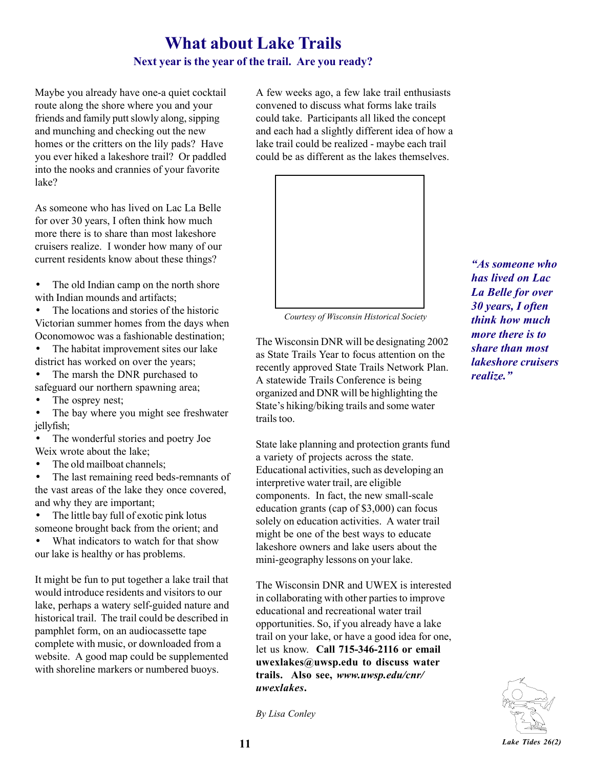# **What about Lake Trails**

## **Next year is the year of the trail. Are you ready?**

Maybe you already have one-a quiet cocktail route along the shore where you and your friends and family putt slowly along, sipping and munching and checking out the new homes or the critters on the lily pads? Have you ever hiked a lakeshore trail? Or paddled into the nooks and crannies of your favorite lake?

As someone who has lived on Lac La Belle for over 30 years, I often think how much more there is to share than most lakeshore cruisers realize. I wonder how many of our current residents know about these things?

• The old Indian camp on the north shore with Indian mounds and artifacts;

• The locations and stories of the historic Victorian summer homes from the days when Oconomowoc was a fashionable destination;

• The habitat improvement sites our lake district has worked on over the years;

- The marsh the DNR purchased to safeguard our northern spawning area;
- The osprey nest;
- The bay where you might see freshwater jellyfish;
- The wonderful stories and poetry Joe Weix wrote about the lake;
- The old mailboat channels;

• The last remaining reed beds-remnants of the vast areas of the lake they once covered, and why they are important;

• The little bay full of exotic pink lotus someone brought back from the orient; and

• What indicators to watch for that show our lake is healthy or has problems.

It might be fun to put together a lake trail that would introduce residents and visitors to our lake, perhaps a watery self-guided nature and historical trail. The trail could be described in pamphlet form, on an audiocassette tape complete with music, or downloaded from a website. A good map could be supplemented with shoreline markers or numbered buoys.

A few weeks ago, a few lake trail enthusiasts convened to discuss what forms lake trails could take. Participants all liked the concept and each had a slightly different idea of how a lake trail could be realized - maybe each trail could be as different as the lakes themselves.



 *Courtesy of Wisconsin Historical Society*

The Wisconsin DNR will be designating 2002 as State Trails Year to focus attention on the recently approved State Trails Network Plan. A statewide Trails Conference is being organized and DNR will be highlighting the State's hiking/biking trails and some water trails too.

State lake planning and protection grants fund a variety of projects across the state. Educational activities, such as developing an interpretive water trail, are eligible components. In fact, the new small-scale education grants (cap of \$3,000) can focus solely on education activities. A water trail might be one of the best ways to educate lakeshore owners and lake users about the mini-geography lessons on your lake.

The Wisconsin DNR and UWEX is interested in collaborating with other parties to improve educational and recreational water trail opportunities. So, if you already have a lake trail on your lake, or have a good idea for one, let us know. **Call 715-346-2116 or email uwexlakes@uwsp.edu to discuss water trails. Also see,** *www.uwsp.edu/cnr/ uwexlakes***.**

*By Lisa Conley*

*ìAs someone who has lived on Lac La Belle for over 30 years, I often think how much more there is to share than most lakeshore cruisers realize.*"